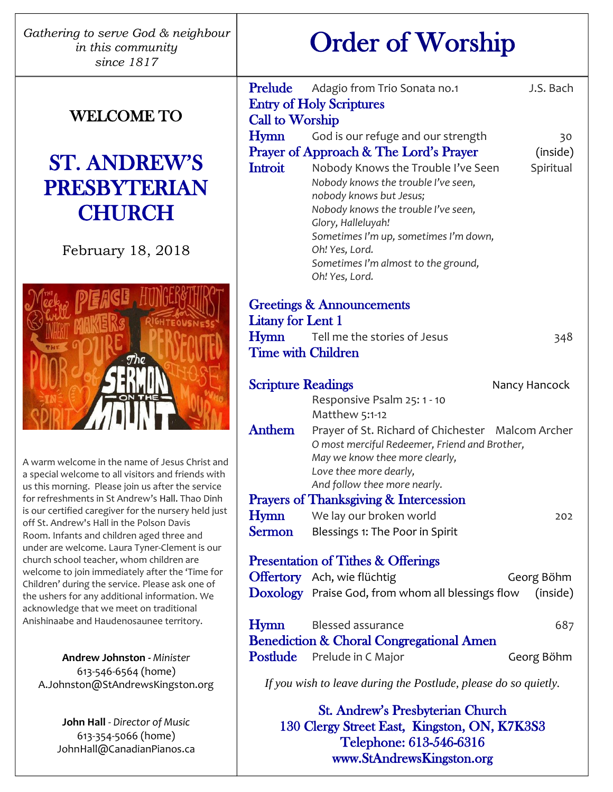*Gathering to serve God & neighbour in this community since 1817*

### WELCOME TO

## ST. ANDREW'S PRESBYTERIAN **CHURCH**

February 18, 2018



A warm welcome in the name of Jesus Christ and a special welcome to all visitors and friends with us this morning. Please join us after the service for refreshments in St Andrew's Hall. Thao Dinh is our certified caregiver for the nursery held just off St. Andrew's Hall in the Polson Davis Room. Infants and children aged three and under are welcome. Laura Tyner-Clement is our church school teacher, whom children are welcome to join immediately after the 'Time for Children' during the service. Please ask one of the ushers for any additional information. We acknowledge that we meet on traditional Anishinaabe and Haudenosaunee territory.

**Andrew Johnston -** *Minister* 613-546-6564 (home) A.Johnston@StAndrewsKingston.org

> **John Hall** - *Director of Music* 613-354-5066 (home) JohnHall[@CanadianPianos.c](mailto:john@standrewskingston.org)a

# Order of Worship

| Adagio from Trio Sonata no.1                                    | J.S. Bach                                                                                                                                                                                                                                                                                                                                                                                                                                                                                                                                  |  |  |
|-----------------------------------------------------------------|--------------------------------------------------------------------------------------------------------------------------------------------------------------------------------------------------------------------------------------------------------------------------------------------------------------------------------------------------------------------------------------------------------------------------------------------------------------------------------------------------------------------------------------------|--|--|
| <b>Entry of Holy Scriptures</b>                                 |                                                                                                                                                                                                                                                                                                                                                                                                                                                                                                                                            |  |  |
| <b>Call to Worship</b>                                          |                                                                                                                                                                                                                                                                                                                                                                                                                                                                                                                                            |  |  |
| God is our refuge and our strength                              | 30                                                                                                                                                                                                                                                                                                                                                                                                                                                                                                                                         |  |  |
| Prayer of Approach & The Lord's Prayer                          | (inside)                                                                                                                                                                                                                                                                                                                                                                                                                                                                                                                                   |  |  |
| Nobody Knows the Trouble I've Seen                              | Spiritual                                                                                                                                                                                                                                                                                                                                                                                                                                                                                                                                  |  |  |
| Nobody knows the trouble I've seen,                             |                                                                                                                                                                                                                                                                                                                                                                                                                                                                                                                                            |  |  |
|                                                                 |                                                                                                                                                                                                                                                                                                                                                                                                                                                                                                                                            |  |  |
|                                                                 |                                                                                                                                                                                                                                                                                                                                                                                                                                                                                                                                            |  |  |
|                                                                 |                                                                                                                                                                                                                                                                                                                                                                                                                                                                                                                                            |  |  |
| Oh! Yes, Lord.                                                  |                                                                                                                                                                                                                                                                                                                                                                                                                                                                                                                                            |  |  |
| Sometimes I'm almost to the ground,                             |                                                                                                                                                                                                                                                                                                                                                                                                                                                                                                                                            |  |  |
|                                                                 |                                                                                                                                                                                                                                                                                                                                                                                                                                                                                                                                            |  |  |
|                                                                 |                                                                                                                                                                                                                                                                                                                                                                                                                                                                                                                                            |  |  |
|                                                                 |                                                                                                                                                                                                                                                                                                                                                                                                                                                                                                                                            |  |  |
|                                                                 | 348                                                                                                                                                                                                                                                                                                                                                                                                                                                                                                                                        |  |  |
|                                                                 |                                                                                                                                                                                                                                                                                                                                                                                                                                                                                                                                            |  |  |
| <b>Time with Children</b>                                       |                                                                                                                                                                                                                                                                                                                                                                                                                                                                                                                                            |  |  |
|                                                                 | Nancy Hancock                                                                                                                                                                                                                                                                                                                                                                                                                                                                                                                              |  |  |
|                                                                 |                                                                                                                                                                                                                                                                                                                                                                                                                                                                                                                                            |  |  |
| Matthew 5:1-12                                                  |                                                                                                                                                                                                                                                                                                                                                                                                                                                                                                                                            |  |  |
| Prayer of St. Richard of Chichester Malcom Archer               |                                                                                                                                                                                                                                                                                                                                                                                                                                                                                                                                            |  |  |
| O most merciful Redeemer, Friend and Brother,                   |                                                                                                                                                                                                                                                                                                                                                                                                                                                                                                                                            |  |  |
|                                                                 |                                                                                                                                                                                                                                                                                                                                                                                                                                                                                                                                            |  |  |
|                                                                 |                                                                                                                                                                                                                                                                                                                                                                                                                                                                                                                                            |  |  |
|                                                                 |                                                                                                                                                                                                                                                                                                                                                                                                                                                                                                                                            |  |  |
|                                                                 | 202                                                                                                                                                                                                                                                                                                                                                                                                                                                                                                                                        |  |  |
|                                                                 |                                                                                                                                                                                                                                                                                                                                                                                                                                                                                                                                            |  |  |
|                                                                 |                                                                                                                                                                                                                                                                                                                                                                                                                                                                                                                                            |  |  |
| <b>Presentation of Tithes &amp; Offerings</b>                   |                                                                                                                                                                                                                                                                                                                                                                                                                                                                                                                                            |  |  |
| Offertory Ach, wie flüchtig                                     | Georg Böhm                                                                                                                                                                                                                                                                                                                                                                                                                                                                                                                                 |  |  |
| <b>Doxology</b> Praise God, from whom all blessings flow        | (inside)                                                                                                                                                                                                                                                                                                                                                                                                                                                                                                                                   |  |  |
|                                                                 |                                                                                                                                                                                                                                                                                                                                                                                                                                                                                                                                            |  |  |
| Blessed assurance                                               | 687                                                                                                                                                                                                                                                                                                                                                                                                                                                                                                                                        |  |  |
| <b>Benediction &amp; Choral Congregational Amen</b>             |                                                                                                                                                                                                                                                                                                                                                                                                                                                                                                                                            |  |  |
| Postlude Prelude in C Major                                     | Georg Böhm                                                                                                                                                                                                                                                                                                                                                                                                                                                                                                                                 |  |  |
| If you wish to leave during the Postlude, please do so quietly. |                                                                                                                                                                                                                                                                                                                                                                                                                                                                                                                                            |  |  |
|                                                                 | nobody knows but Jesus;<br>Nobody knows the trouble I've seen,<br>Glory, Halleluyah!<br>Sometimes I'm up, sometimes I'm down,<br>Oh! Yes, Lord.<br><b>Greetings &amp; Announcements</b><br><b>Litany for Lent 1</b><br><b>Hymn</b> Tell me the stories of Jesus<br><b>Scripture Readings</b><br>Responsive Psalm 25: 1 - 10<br>May we know thee more clearly,<br>Love thee more dearly,<br>And follow thee more nearly.<br><b>Prayers of Thanksgiving &amp; Intercession</b><br>We lay our broken world<br>Blessings 1: The Poor in Spirit |  |  |

St. Andrew's Presbyterian Church 130 Clergy Street East, Kingston, ON, K7K3S3 Telephone: 613-546-6316 www.StAndrewsKingston.org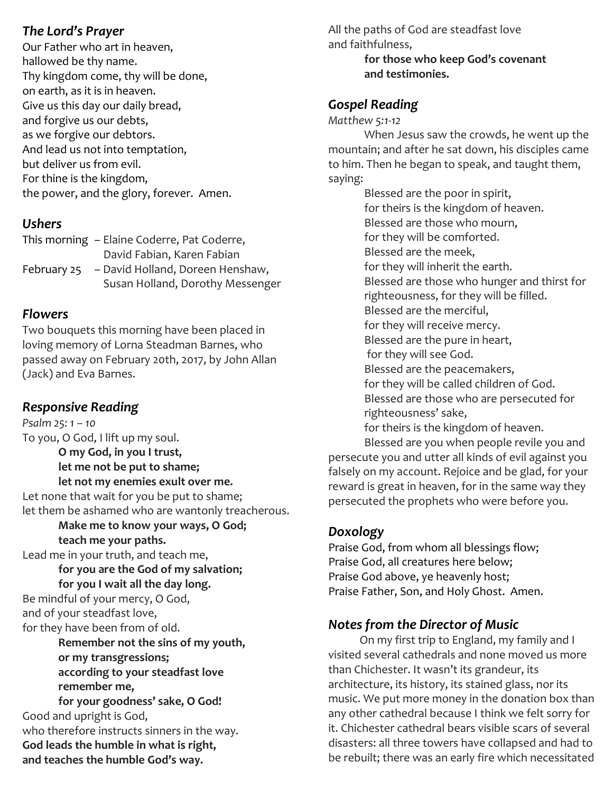#### *The Lord's Prayer*

Our Father who art in heaven, hallowed be thy name. Thy kingdom come, thy will be done, on earth, as it is in heaven. Give us this day our daily bread, and forgive us our debts, as we forgive our debtors. And lead us not into temptation, but deliver us from evil. For thine is the kingdom, the power, and the glory, forever. Amen.

#### *Ushers*

This morning – Elaine Coderre, Pat Coderre, David Fabian, Karen Fabian February 25 – David Holland, Doreen Henshaw, Susan Holland, Dorothy Messenger

#### *Flowers*

Two bouquets this morning have been placed in loving memory of Lorna Steadman Barnes, who passed away on February 20th, 2017, by John Allan (Jack) and Eva Barnes.

#### *Responsive Reading*

*Psalm 25: 1 – 10* To you, O God, I lift up my soul. **O my God, in you I trust, let me not be put to shame; let not my enemies exult over me.** Let none that wait for you be put to shame; let them be ashamed who are wantonly treacherous. **Make me to know your ways, O God; teach me your paths.** Lead me in your truth, and teach me, **for you are the God of my salvation; for you I wait all the day long.** Be mindful of your mercy, O God, and of your steadfast love, for they have been from of old. **Remember not the sins of my youth, or my transgressions; according to your steadfast love remember me, for your goodness' sake, O God!** Good and upright is God, who therefore instructs sinners in the way. **God leads the humble in what is right, and teaches the humble God's way.**

All the paths of God are steadfast love and faithfulness,

**for those who keep God's covenant and testimonies.**

#### *Gospel Reading*

*Matthew 5:1-12*

When Jesus saw the crowds, he went up the mountain; and after he sat down, his disciples came to him. Then he began to speak, and taught them, saying:

Blessed are the poor in spirit, for theirs is the kingdom of heaven. Blessed are those who mourn, for they will be comforted. Blessed are the meek, for they will inherit the earth. Blessed are those who hunger and thirst for righteousness, for they will be filled. Blessed are the merciful, for they will receive mercy. Blessed are the pure in heart, for they will see God. Blessed are the peacemakers, for they will be called children of God. Blessed are those who are persecuted for righteousness' sake, for theirs is the kingdom of heaven. Blessed are you when people revile you and

persecute you and utter all kinds of evil against you falsely on my account. Rejoice and be glad, for your reward is great in heaven, for in the same way they persecuted the prophets who were before you.

#### *Doxology*

Praise God, from whom all blessings flow; Praise God, all creatures here below; Praise God above, ye heavenly host; Praise Father, Son, and Holy Ghost. Amen.

#### *Notes from the Director of Music*

On my first trip to England, my family and I visited several cathedrals and none moved us more than Chichester. It wasn't its grandeur, its architecture, its history, its stained glass, nor its music. We put more money in the donation box than any other cathedral because I think we felt sorry for it. Chichester cathedral bears visible scars of several disasters: all three towers have collapsed and had to be rebuilt; there was an early fire which necessitated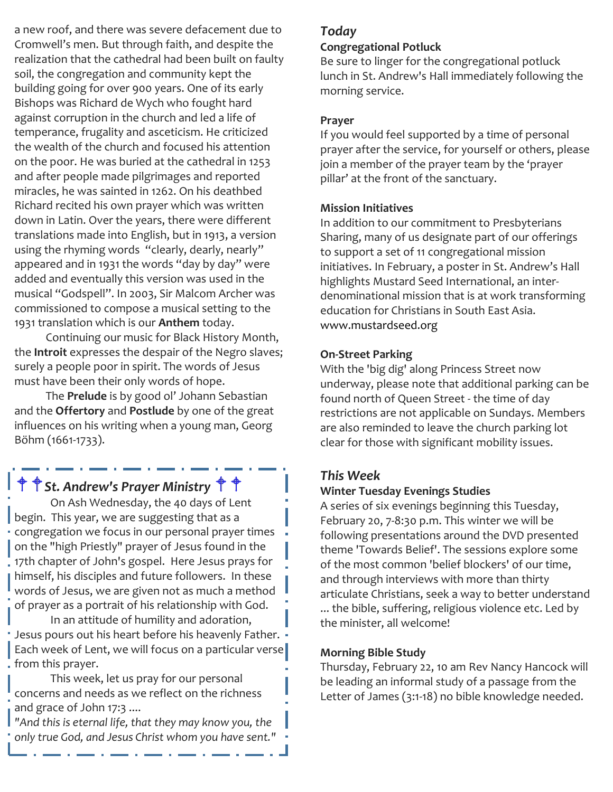a new roof, and there was severe defacement due to Cromwell's men. But through faith, and despite the realization that the cathedral had been built on faulty soil, the congregation and community kept the building going for over 900 years. One of its early Bishops was Richard de Wych who fought hard against corruption in the church and led a life of temperance, frugality and asceticism. He criticized the wealth of the church and focused his attention on the poor. He was buried at the cathedral in 1253 and after people made pilgrimages and reported miracles, he was sainted in 1262. On his deathbed Richard recited his own prayer which was written down in Latin. Over the years, there were different translations made into English, but in 1913, a version using the rhyming words "clearly, dearly, nearly" appeared and in 1931 the words "day by day" were added and eventually this version was used in the musical "Godspell". In 2003, Sir Malcom Archer was commissioned to compose a musical setting to the 1931 translation which is our **Anthem** today.

Continuing our music for Black History Month, the **Introit** expresses the despair of the Negro slaves; surely a people poor in spirit. The words of Jesus must have been their only words of hope.

The **Prelude** is by good ol' Johann Sebastian and the **Offertory** and **Postlude** by one of the great influences on his writing when a young man, Georg Böhm (1661-1733).

## *St. Andrew's Prayer Ministry*

On Ash Wednesday, the 40 days of Lent begin. This year, we are suggesting that as a congregation we focus in our personal prayer times on the "high Priestly" prayer of Jesus found in the 17th chapter of John's gospel. Here Jesus prays for himself, his disciples and future followers. In these words of Jesus, we are given not as much a method of prayer as a portrait of his relationship with God.

In an attitude of humility and adoration, Jesus pours out his heart before his heavenly Father. Each week of Lent, we will focus on a particular verse from this prayer.

This week, let us pray for our personal concerns and needs as we reflect on the richness and grace of John 17:3 ....

*"And this is eternal life, that they may know you, the only true God, and Jesus Christ whom you have sent."*

#### *Today*

#### **Congregational Potluck**

Be sure to linger for the congregational potluck lunch in St. Andrew's Hall immediately following the morning service.

#### **Prayer**

If you would feel supported by a time of personal prayer after the service, for yourself or others, please join a member of the prayer team by the 'prayer pillar' at the front of the sanctuary.

#### **Mission Initiatives**

In addition to our commitment to Presbyterians Sharing, many of us designate part of our offerings to support a set of 11 congregational mission initiatives. In February, a poster in St. Andrew's Hall highlights Mustard Seed International, an interdenominational mission that is at work transforming education for Christians in South East Asia. www.mustardseed.org

#### **On-Street Parking**

With the 'big dig' along Princess Street now underway, please note that additional parking can be found north of Queen Street - the time of day restrictions are not applicable on Sundays. Members are also reminded to leave the church parking lot clear for those with significant mobility issues.

#### *This Week*

#### **Winter Tuesday Evenings Studies**

A series of six evenings beginning this Tuesday, February 20, 7-8:30 p.m. This winter we will be following presentations around the DVD presented theme 'Towards Belief'. The sessions explore some of the most common 'belief blockers' of our time, and through interviews with more than thirty articulate Christians, seek a way to better understand ... the bible, suffering, religious violence etc. Led by the minister, all welcome!

#### **Morning Bible Study**

Thursday, February 22, 10 am Rev Nancy Hancock will be leading an informal study of a passage from the Letter of James (3:1-18) no bible knowledge needed.